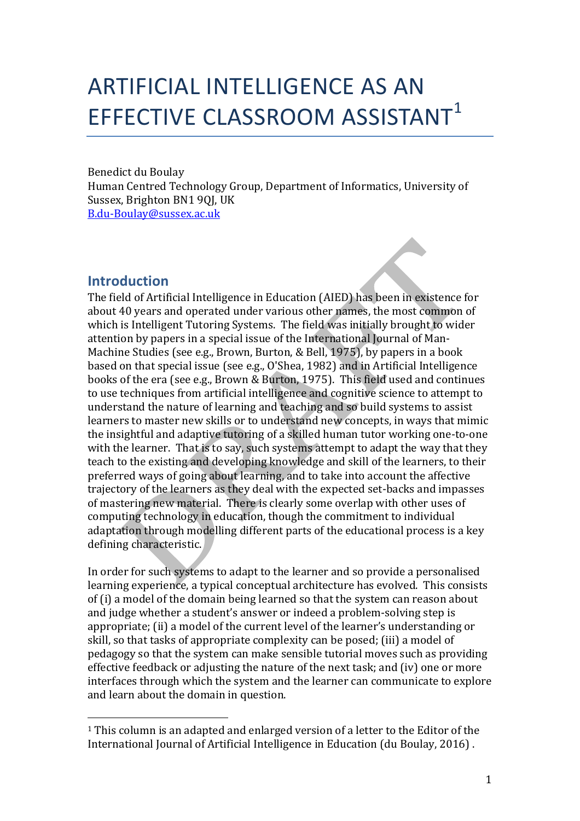# ARTIFICIAL INTELLIGENCE AS AN EFFECTIVE CLASSROOM ASSISTANT<sup>1</sup>

Benedict du Boulay Human Centred Technology Group, Department of Informatics, University of Sussex, Brighton BN1 90I, UK B.du-Boulay@sussex.ac.uk

# **Introduction**

 

The field of Artificial Intelligence in Education (AIED) has been in existence for about 40 years and operated under various other names, the most common of which is Intelligent Tutoring Systems. The field was initially brought to wider attention by papers in a special issue of the International Journal of Man-Machine Studies (see e.g., Brown, Burton, & Bell, 1975), by papers in a book based on that special issue (see e.g., O'Shea, 1982) and in Artificial Intelligence books of the era (see e.g., Brown & Burton, 1975). This field used and continues to use techniques from artificial intelligence and cognitive science to attempt to understand the nature of learning and teaching and so build systems to assist learners to master new skills or to understand new concepts, in ways that mimic the insightful and adaptive tutoring of a skilled human tutor working one-to-one with the learner. That is to say, such systems attempt to adapt the way that they teach to the existing and developing knowledge and skill of the learners, to their preferred ways of going about learning, and to take into account the affective trajectory of the learners as they deal with the expected set-backs and impasses of mastering new material. There is clearly some overlap with other uses of computing technology in education, though the commitment to individual adaptation through modelling different parts of the educational process is a key defining characteristic.

In order for such systems to adapt to the learner and so provide a personalised learning experience, a typical conceptual architecture has evolved. This consists of (i) a model of the domain being learned so that the system can reason about and judge whether a student's answer or indeed a problem-solving step is appropriate; (ii) a model of the current level of the learner's understanding or skill, so that tasks of appropriate complexity can be posed; (iii) a model of pedagogy so that the system can make sensible tutorial moves such as providing effective feedback or adjusting the nature of the next task; and  $(iv)$  one or more interfaces through which the system and the learner can communicate to explore and learn about the domain in question.

 $1$  This column is an adapted and enlarged version of a letter to the Editor of the International Iournal of Artificial Intelligence in Education (du Boulay, 2016).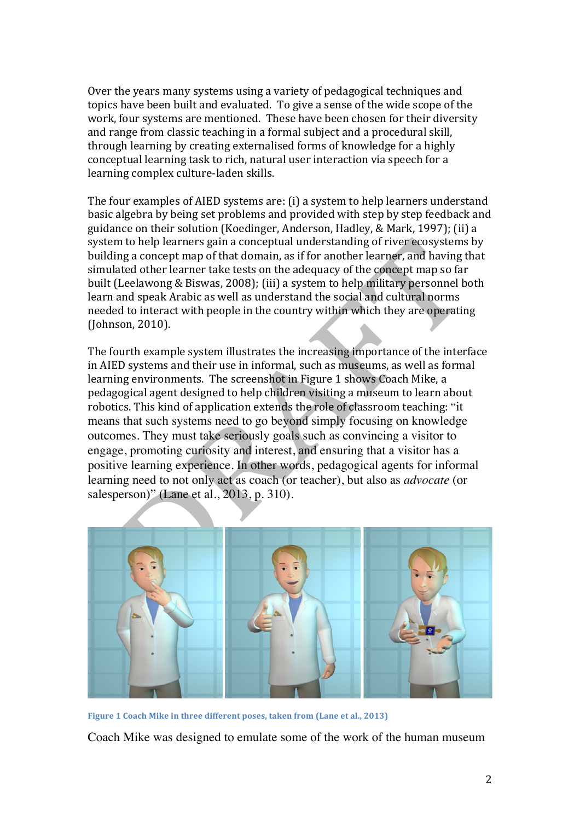Over the years many systems using a variety of pedagogical techniques and topics have been built and evaluated. To give a sense of the wide scope of the work, four systems are mentioned. These have been chosen for their diversity and range from classic teaching in a formal subject and a procedural skill, through learning by creating externalised forms of knowledge for a highly conceptual learning task to rich, natural user interaction via speech for a learning complex culture-laden skills.

The four examples of AIED systems are: (i) a system to help learners understand basic algebra by being set problems and provided with step by step feedback and guidance on their solution (Koedinger, Anderson, Hadley, & Mark, 1997); (ii) a system to help learners gain a conceptual understanding of river ecosystems by building a concept map of that domain, as if for another learner, and having that simulated other learner take tests on the adequacy of the concept map so far built (Leelawong & Biswas, 2008); (iii) a system to help military personnel both learn and speak Arabic as well as understand the social and cultural norms needed to interact with people in the country within which they are operating (Johnson, 2010).

The fourth example system illustrates the increasing importance of the interface in AIED systems and their use in informal, such as museums, as well as formal learning environments. The screenshot in Figure 1 shows Coach Mike, a pedagogical agent designed to help children visiting a museum to learn about robotics. This kind of application extends the role of classroom teaching: "it means that such systems need to go beyond simply focusing on knowledge outcomes. They must take seriously goals such as convincing a visitor to engage, promoting curiosity and interest, and ensuring that a visitor has a positive learning experience. In other words, pedagogical agents for informal learning need to not only act as coach (or teacher), but also as *advocate* (or salesperson)" (Lane et al., 2013, p. 310).



**Figure 1 Coach Mike in three different poses, taken from (Lane et al., 2013)** 

Coach Mike was designed to emulate some of the work of the human museum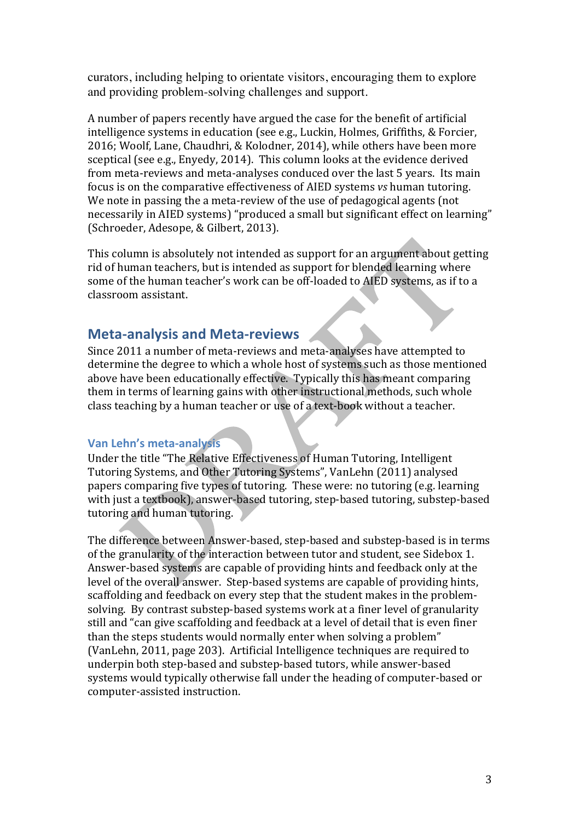curators, including helping to orientate visitors, encouraging them to explore and providing problem-solving challenges and support.

A number of papers recently have argued the case for the benefit of artificial intelligence systems in education (see e.g., Luckin, Holmes, Griffiths, & Forcier, 2016; Woolf, Lane, Chaudhri, & Kolodner, 2014), while others have been more sceptical (see e.g., Enyedy, 2014). This column looks at the evidence derived from meta-reviews and meta-analyses conduced over the last 5 years. Its main focus is on the comparative effectiveness of AIED systems *vs* human tutoring. We note in passing the a meta-review of the use of pedagogical agents (not necessarily in AIED systems) "produced a small but significant effect on learning" (Schroeder, Adesope, & Gilbert, 2013).

This column is absolutely not intended as support for an argument about getting rid of human teachers, but is intended as support for blended learning where some of the human teacher's work can be off-loaded to AIED systems, as if to a classroom assistant.

## **Meta-analysis and Meta-reviews**

Since 2011 a number of meta-reviews and meta-analyses have attempted to determine the degree to which a whole host of systems such as those mentioned above have been educationally effective. Typically this has meant comparing them in terms of learning gains with other instructional methods, such whole class teaching by a human teacher or use of a text-book without a teacher.

### **Van Lehn's meta-analysis**

Under the title "The Relative Effectiveness of Human Tutoring, Intelligent Tutoring Systems, and Other Tutoring Systems", VanLehn (2011) analysed papers comparing five types of tutoring. These were: no tutoring (e.g. learning with just a textbook), answer-based tutoring, step-based tutoring, substep-based tutoring and human tutoring.

The difference between Answer-based, step-based and substep-based is in terms of the granularity of the interaction between tutor and student, see Sidebox 1. Answer-based systems are capable of providing hints and feedback only at the level of the overall answer. Step-based systems are capable of providing hints, scaffolding and feedback on every step that the student makes in the problemsolving. By contrast substep-based systems work at a finer level of granularity still and "can give scaffolding and feedback at a level of detail that is even finer than the steps students would normally enter when solving a problem" (VanLehn, 2011, page 203). Artificial Intelligence techniques are required to underpin both step-based and substep-based tutors, while answer-based systems would typically otherwise fall under the heading of computer-based or computer-assisted instruction.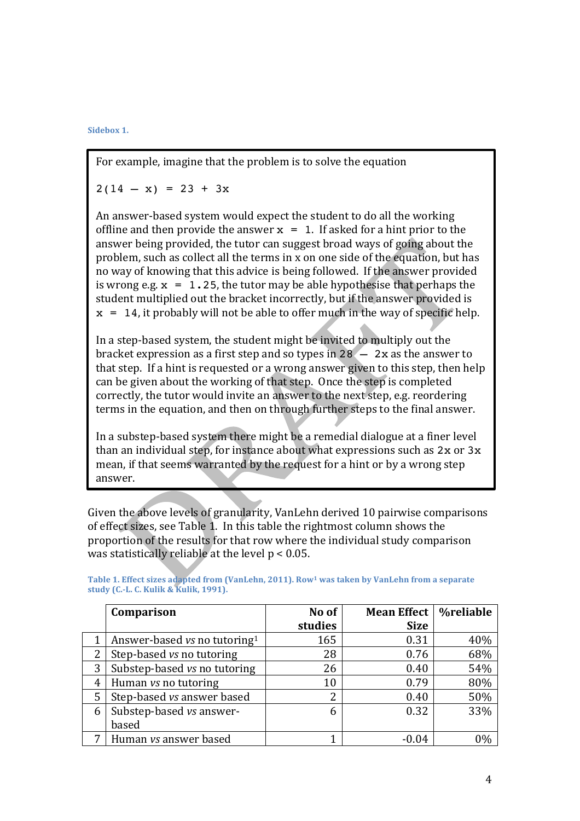Sidebox 1.

For example, imagine that the problem is to solve the equation

 $2(14 - x) = 23 + 3x$ 

An answer-based system would expect the student to do all the working offline and then provide the answer  $x = 1$ . If asked for a hint prior to the answer being provided, the tutor can suggest broad ways of going about the problem, such as collect all the terms in x on one side of the equation, but has no way of knowing that this advice is being followed. If the answer provided is wrong e.g.  $x = 1.25$ , the tutor may be able hypothesise that perhaps the student multiplied out the bracket incorrectly, but if the answer provided is  $x = 14$ , it probably will not be able to offer much in the way of specific help.

In a step-based system, the student might be invited to multiply out the bracket expression as a first step and so types in  $28 - 2x$  as the answer to that step. If a hint is requested or a wrong answer given to this step, then help can be given about the working of that step. Once the step is completed correctly, the tutor would invite an answer to the next step, e.g. reordering terms in the equation, and then on through further steps to the final answer.

In a substep-based system there might be a remedial dialogue at a finer level than an individual step, for instance about what expressions such as  $2x$  or  $3x$ mean, if that seems warranted by the request for a hint or by a wrong step answer.

Given the above levels of granularity, VanLehn derived 10 pairwise comparisons of effect sizes, see Table 1. In this table the rightmost column shows the proportion of the results for that row where the individual study comparison was statistically reliable at the level  $p < 0.05$ .

|   | Comparison                               | No of   | <b>Mean Effect</b> | <b>%reliable</b> |
|---|------------------------------------------|---------|--------------------|------------------|
|   |                                          | studies | <b>Size</b>        |                  |
| 1 | Answer-based vs no tutoring <sup>1</sup> | 165     | 0.31               | 40%              |
| 2 | Step-based vs no tutoring                | 28      | 0.76               | 68%              |
| 3 | Substep-based vs no tutoring             | 26      | 0.40               | 54%              |
| 4 | Human vs no tutoring                     | 10      | 0.79               | 80%              |
| 5 | Step-based vs answer based               | 2       | 0.40               | 50%              |
| 6 | Substep-based vs answer-                 | 6       | 0.32               | 33%              |
|   | based                                    |         |                    |                  |
| 7 | Human vs answer based                    |         | $-0.04$            | 0%               |

Table 1. Effect sizes adapted from (VanLehn, 2011). Row<sup>1</sup> was taken by VanLehn from a separate study (C.-L. C. Kulik & Kulik, 1991).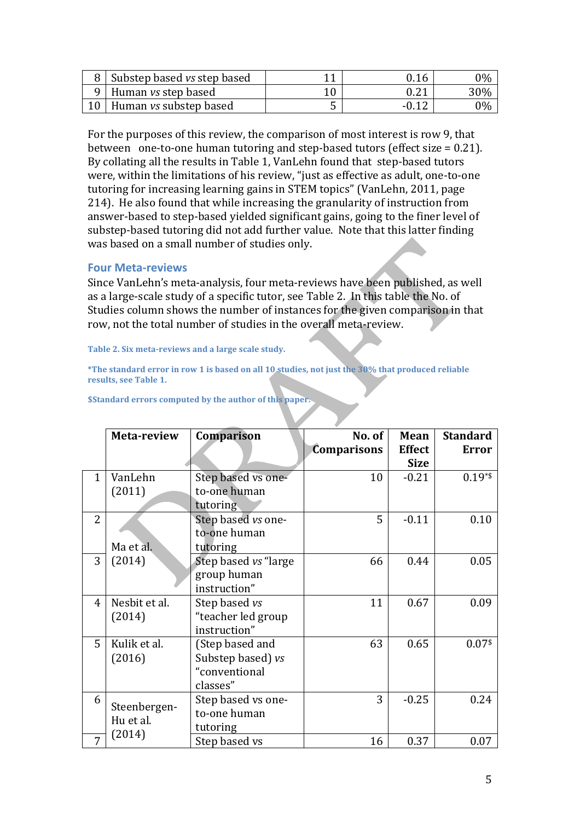| Substep based vs step based   | 9.16 | $0\%$ |
|-------------------------------|------|-------|
| J Human vs step based         |      | 30%   |
| Human <i>vs</i> substep based |      | $0\%$ |

For the purposes of this review, the comparison of most interest is row 9, that between one-to-one human tutoring and step-based tutors (effect size  $= 0.21$ ). By collating all the results in Table 1, VanLehn found that step-based tutors were, within the limitations of his review, "just as effective as adult, one-to-one tutoring for increasing learning gains in STEM topics" (VanLehn, 2011, page 214). He also found that while increasing the granularity of instruction from answer-based to step-based yielded significant gains, going to the finer level of substep-based tutoring did not add further value. Note that this latter finding was based on a small number of studies only.

#### **Four Meta-reviews**

Since VanLehn's meta-analysis, four meta-reviews have been published, as well as a large-scale study of a specific tutor, see Table 2. In this table the No. of Studies column shows the number of instances for the given comparison in that row, not the total number of studies in the overall meta-review.

Table 2. Six meta-reviews and a large scale study.

\*The standard error in row 1 is based on all 10 studies, not just the 30% that produced reliable results, see Table 1.

|                | Meta-review               | Comparison            | No. of<br><b>Comparisons</b> | Mean<br><b>Effect</b> | <b>Standard</b><br><b>Error</b> |
|----------------|---------------------------|-----------------------|------------------------------|-----------------------|---------------------------------|
|                |                           |                       |                              | <b>Size</b>           |                                 |
| $\mathbf{1}$   | VanLehn                   | Step based vs one-    | 10                           | $-0.21$               | $0.19**$                        |
|                | (2011)                    | to-one human          |                              |                       |                                 |
|                |                           | tutoring              |                              |                       |                                 |
| $\overline{2}$ |                           | Step based vs one-    | 5                            | $-0.11$               | 0.10                            |
|                |                           | to-one human          |                              |                       |                                 |
|                | Ma et al.                 | tutoring              |                              |                       |                                 |
| 3              | (2014)                    | Step based vs "large" | 66                           | 0.44                  | 0.05                            |
|                |                           | group human           |                              |                       |                                 |
|                |                           | instruction"          |                              |                       |                                 |
| 4              | Nesbit et al.             | Step based vs         | 11                           | 0.67                  | 0.09                            |
|                | (2014)                    | "teacher led group    |                              |                       |                                 |
|                |                           | instruction"          |                              |                       |                                 |
| 5              | Kulik et al.              | (Step based and       | 63                           | 0.65                  | $0.07$ <sup>\$</sup>            |
|                | (2016)                    | Substep based) vs     |                              |                       |                                 |
|                |                           | "conventional         |                              |                       |                                 |
|                |                           | classes"              |                              |                       |                                 |
| 6              |                           | Step based vs one-    | 3                            | $-0.25$               | 0.24                            |
|                | Steenbergen-<br>Hu et al. | to-one human          |                              |                       |                                 |
|                |                           | tutoring              |                              |                       |                                 |
| 7              | (2014)                    | Step based vs         | 16                           | 0.37                  | 0.07                            |

**\$Standard errors computed by the author of this paper.**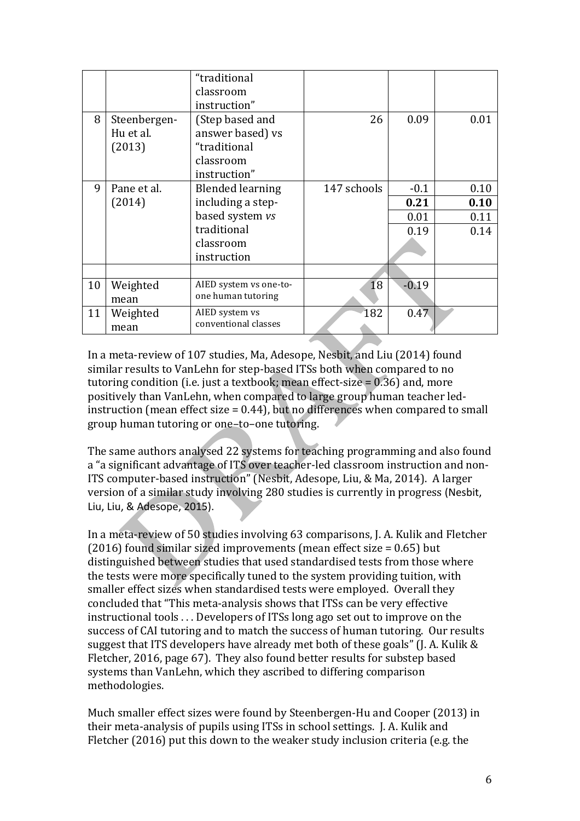|    |              | "traditional            |             |         |      |
|----|--------------|-------------------------|-------------|---------|------|
|    |              | classroom               |             |         |      |
|    |              | instruction"            |             |         |      |
| 8  | Steenbergen- | (Step based and         | 26          | 0.09    | 0.01 |
|    | Hu et al.    | answer based) vs        |             |         |      |
|    | (2013)       | "traditional            |             |         |      |
|    |              | classroom               |             |         |      |
|    |              | instruction"            |             |         |      |
| 9  | Pane et al.  | <b>Blended learning</b> | 147 schools | $-0.1$  | 0.10 |
|    | (2014)       | including a step-       |             | 0.21    | 0.10 |
|    |              | based system vs         |             | 0.01    | 0.11 |
|    |              | traditional             |             | 0.19    | 0.14 |
|    |              | classroom               |             |         |      |
|    |              | instruction             |             |         |      |
|    |              |                         |             |         |      |
| 10 | Weighted     | AIED system vs one-to-  | 18          | $-0.19$ |      |
|    | mean         | one human tutoring      |             |         |      |
| 11 | Weighted     | AIED system vs          | 182         | 0.47    |      |
|    | mean         | conventional classes    |             |         |      |

In a meta-review of 107 studies, Ma, Adesope, Nesbit, and Liu (2014) found similar results to VanLehn for step-based ITSs both when compared to no tutoring condition (i.e. just a textbook; mean effect-size  $= 0.36$ ) and, more positively than VanLehn, when compared to large group human teacher ledinstruction (mean effect size =  $0.44$ ), but no differences when compared to small group human tutoring or one-to-one tutoring.

The same authors analysed 22 systems for teaching programming and also found a "a significant advantage of ITS over teacher-led classroom instruction and non-ITS computer-based instruction" (Nesbit, Adesope, Liu, & Ma, 2014). A larger version of a similar study involving 280 studies is currently in progress (Nesbit, Liu, Liu, & Adesope, 2015).

In a meta-review of 50 studies involving 63 comparisons, J. A. Kulik and Fletcher (2016) found similar sized improvements (mean effect size =  $0.65$ ) but distinguished between studies that used standardised tests from those where the tests were more specifically tuned to the system providing tuition, with smaller effect sizes when standardised tests were employed. Overall they concluded that "This meta-analysis shows that ITSs can be very effective instructional tools  $\dots$  Developers of ITSs long ago set out to improve on the success of CAI tutoring and to match the success of human tutoring. Our results suggest that ITS developers have already met both of these goals" (J. A. Kulik  $&$ Fletcher, 2016, page 67). They also found better results for substep based systems than VanLehn, which they ascribed to differing comparison methodologies.

Much smaller effect sizes were found by Steenbergen-Hu and Cooper (2013) in their meta-analysis of pupils using ITSs in school settings. J. A. Kulik and Fletcher  $(2016)$  put this down to the weaker study inclusion criteria (e.g. the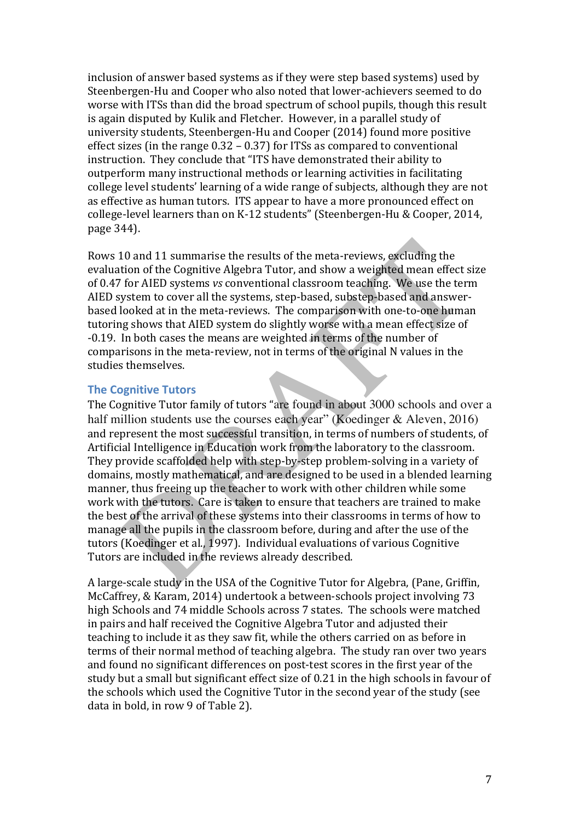inclusion of answer based systems as if they were step based systems) used by Steenbergen-Hu and Cooper who also noted that lower-achievers seemed to do worse with ITSs than did the broad spectrum of school pupils, though this result is again disputed by Kulik and Fletcher. However, in a parallel study of university students, Steenbergen-Hu and Cooper (2014) found more positive effect sizes (in the range  $0.32 - 0.37$ ) for ITSs as compared to conventional instruction. They conclude that "ITS have demonstrated their ability to outperform many instructional methods or learning activities in facilitating college level students' learning of a wide range of subjects, although they are not as effective as human tutors. ITS appear to have a more pronounced effect on college-level learners than on K-12 students" (Steenbergen-Hu & Cooper, 2014, page 344).

Rows 10 and 11 summarise the results of the meta-reviews, excluding the evaluation of the Cognitive Algebra Tutor, and show a weighted mean effect size of 0.47 for AIED systems *vs* conventional classroom teaching. We use the term AIED system to cover all the systems, step-based, substep-based and answerbased looked at in the meta-reviews. The comparison with one-to-one human tutoring shows that AIED system do slightly worse with a mean effect size of -0.19. In both cases the means are weighted in terms of the number of comparisons in the meta-review, not in terms of the original N values in the studies themselves.

#### **The Cognitive Tutors**

The Cognitive Tutor family of tutors "are found in about 3000 schools and over a half million students use the courses each year" (Koedinger & Aleven, 2016) and represent the most successful transition, in terms of numbers of students, of Artificial Intelligence in Education work from the laboratory to the classroom. They provide scaffolded help with step-by-step problem-solving in a variety of domains, mostly mathematical, and are designed to be used in a blended learning manner, thus freeing up the teacher to work with other children while some work with the tutors. Care is taken to ensure that teachers are trained to make the best of the arrival of these systems into their classrooms in terms of how to manage all the pupils in the classroom before, during and after the use of the tutors (Koedinger et al., 1997). Individual evaluations of various Cognitive Tutors are included in the reviews already described.

A large-scale study in the USA of the Cognitive Tutor for Algebra, (Pane, Griffin, McCaffrey, & Karam, 2014) undertook a between-schools project involving 73 high Schools and 74 middle Schools across 7 states. The schools were matched in pairs and half received the Cognitive Algebra Tutor and adjusted their teaching to include it as they saw fit, while the others carried on as before in terms of their normal method of teaching algebra. The study ran over two years and found no significant differences on post-test scores in the first year of the study but a small but significant effect size of 0.21 in the high schools in favour of the schools which used the Cognitive Tutor in the second vear of the study (see data in bold, in row 9 of Table 2).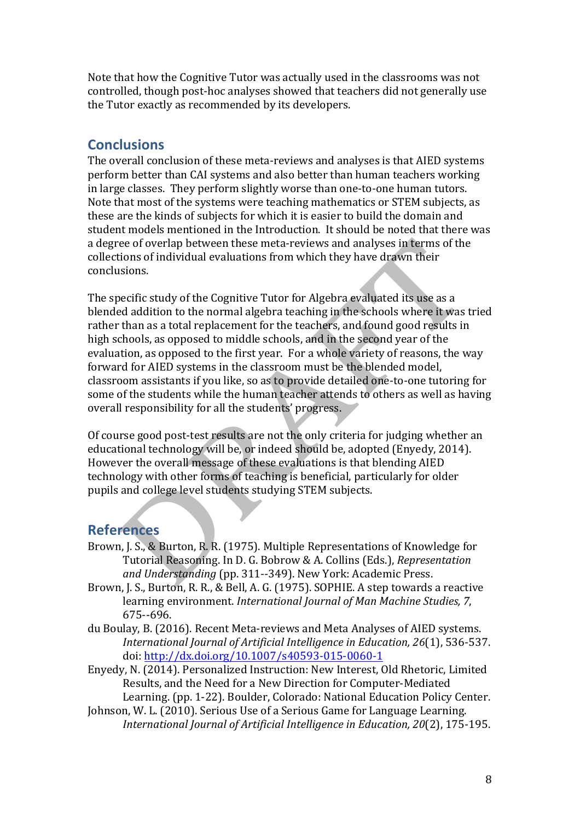Note that how the Cognitive Tutor was actually used in the classrooms was not controlled, though post-hoc analyses showed that teachers did not generally use the Tutor exactly as recommended by its developers.

## **Conclusions**

The overall conclusion of these meta-reviews and analyses is that AIED systems perform better than CAI systems and also better than human teachers working in large classes. They perform slightly worse than one-to-one human tutors. Note that most of the systems were teaching mathematics or STEM subjects, as these are the kinds of subjects for which it is easier to build the domain and student models mentioned in the Introduction. It should be noted that there was a degree of overlap between these meta-reviews and analyses in terms of the collections of individual evaluations from which they have drawn their conclusions. 

The specific study of the Cognitive Tutor for Algebra evaluated its use as a blended addition to the normal algebra teaching in the schools where it was tried rather than as a total replacement for the teachers, and found good results in high schools, as opposed to middle schools, and in the second year of the evaluation, as opposed to the first year. For a whole variety of reasons, the way forward for AIED systems in the classroom must be the blended model, classroom assistants if you like, so as to provide detailed one-to-one tutoring for some of the students while the human teacher attends to others as well as having overall responsibility for all the students' progress.

Of course good post-test results are not the only criteria for judging whether an educational technology will be, or indeed should be, adopted (Enyedy, 2014). However the overall message of these evaluations is that blending AIED technology with other forms of teaching is beneficial, particularly for older pupils and college level students studying STEM subjects.

# **References**

- Brown, J. S., & Burton, R. R. (1975). Multiple Representations of Knowledge for Tutorial Reasoning. In D. G. Bobrow & A. Collins (Eds.), *Representation* and Understanding (pp. 311--349). New York: Academic Press.
- Brown, J. S., Burton, R. R., & Bell, A. G. (1975). SOPHIE. A step towards a reactive learning environment. *International Journal of Man Machine Studies, 7*, 675--696.
- du Boulay, B. (2016). Recent Meta-reviews and Meta Analyses of AIED systems. *International Journal of Artificial Intelligence in Education, 26(1), 536-537.* doi: http://dx.doi.org/10.1007/s40593-015-0060-1
- Enyedy, N. (2014). Personalized Instruction: New Interest, Old Rhetoric, Limited Results, and the Need for a New Direction for Computer-Mediated Learning. (pp. 1-22). Boulder, Colorado: National Education Policy Center.
- Johnson, W. L. (2010). Serious Use of a Serious Game for Language Learning. *International Journal of Artificial Intelligence in Education, 20(2), 175-195.*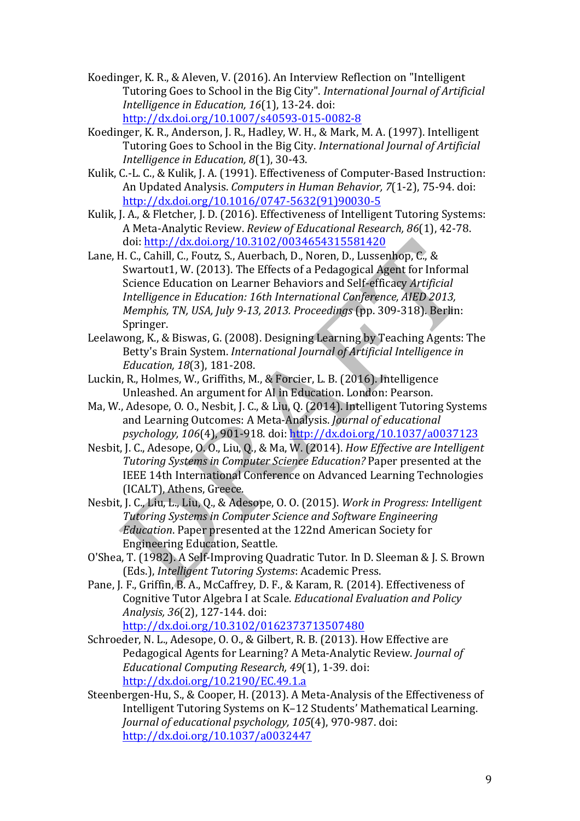- Koedinger, K. R., & Aleven, V. (2016). An Interview Reflection on "Intelligent Tutoring Goes to School in the Big City". *International Journal of Artificial Intelligence in Education, 16*(1), 13-24. doi: http://dx.doi.org/10.1007/s40593-015-0082-8
- Koedinger, K. R., Anderson, J. R., Hadley, W. H., & Mark, M. A. (1997). Intelligent Tutoring Goes to School in the Big City. *International Journal of Artificial Intelligence in Education, 8*(1), 30-43.
- Kulik, C.-L. C., & Kulik, J. A. (1991). Effectiveness of Computer-Based Instruction: An Updated Analysis. *Computers in Human Behavior*, 7(1-2), 75-94. doi: http://dx.doi.org/10.1016/0747-5632(91)90030-5
- Kulik, J. A., & Fletcher, J. D. (2016). Effectiveness of Intelligent Tutoring Systems: A Meta-Analytic Review. *Review of Educational Research, 86*(1), 42-78. doi: http://dx.doi.org/10.3102/0034654315581420
- Lane, H. C., Cahill, C., Foutz, S., Auerbach, D., Noren, D., Lussenhop, C., & Swartout1, W. (2013). The Effects of a Pedagogical Agent for Informal Science Education on Learner Behaviors and Self-efficacy *Artificial Intelligence in Education: 16th International Conference, AIED 2013, Memphis, TN, USA, July 9-13, 2013. Proceedings* (pp. 309-318). Berlin: Springer.
- Leelawong, K., & Biswas, G. (2008). Designing Learning by Teaching Agents: The Betty's Brain System. *International Journal of Artificial Intelligence in Education, 18*(3), 181-208.
- Luckin, R., Holmes, W., Griffiths, M., & Forcier, L. B. (2016). Intelligence Unleashed. An argument for AI in Education. London: Pearson.
- Ma, W., Adesope, O. O., Nesbit, J. C., & Liu, Q. (2014). Intelligent Tutoring Systems and Learning Outcomes: A Meta-Analysis. *Journal of educational psychology, 106*(4), 901-918. doi: http://dx.doi.org/10.1037/a0037123
- Nesbit, J. C., Adesope, O. O., Liu, O., & Ma, W. (2014). *How Effective are Intelligent Tutoring Systems in Computer Science Education?* Paper presented at the IEEE 14th International Conference on Advanced Learning Technologies (ICALT), Athens, Greece.
- Nesbit, J. C., Liu, L., Liu, Q., & Adesope, O. O. (2015). *Work in Progress: Intelligent* **Tutoring Systems in Computer Science and Software Engineering** *Education*. Paper presented at the 122nd American Society for Engineering Education, Seattle.
- O'Shea, T. (1982). A Self-Improving Quadratic Tutor. In D. Sleeman & J. S. Brown (Eds.), *Intelligent Tutoring Systems: Academic Press.*
- Pane, I. F., Griffin, B. A., McCaffrey, D. F., & Karam, R. (2014). Effectiveness of Cognitive Tutor Algebra I at Scale. *Educational Evaluation and Policy Analysis, 36*(2), 127-144. doi: http://dx.doi.org/10.3102/0162373713507480
- Schroeder, N. L., Adesope, O. O., & Gilbert, R. B. (2013). How Effective are Pedagogical Agents for Learning? A Meta-Analytic Review. *Journal of Educational Computing Research, 49*(1), 1-39. doi: http://dx.doi.org/10.2190/EC.49.1.a
- Steenbergen-Hu, S., & Cooper, H. (2013). A Meta-Analysis of the Effectiveness of Intelligent Tutoring Systems on K-12 Students' Mathematical Learning. *Journal of educational psychology, 105*(4), 970-987. doi: http://dx.doi.org/10.1037/a0032447